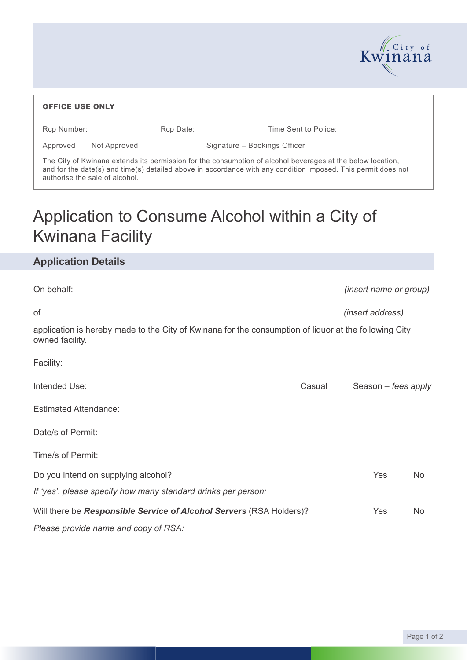

| <b>OFFICE USE ONLY</b>         |                                                                                                                                                                                                                             |                              |                      |                               |
|--------------------------------|-----------------------------------------------------------------------------------------------------------------------------------------------------------------------------------------------------------------------------|------------------------------|----------------------|-------------------------------|
| Rcp Number:                    | Rcp Date:                                                                                                                                                                                                                   |                              | Time Sent to Police: |                               |
| Approved                       | Not Approved                                                                                                                                                                                                                | Signature - Bookings Officer |                      |                               |
| authorise the sale of alcohol. | The City of Kwinana extends its permission for the consumption of alcohol beverages at the below location,<br>and for the date(s) and time(s) detailed above in accordance with any condition imposed. This permit does not |                              |                      |                               |
| <b>Kwinana Facility</b>        | Application to Consume Alcohol within a City of                                                                                                                                                                             |                              |                      |                               |
| <b>Application Details</b>     |                                                                                                                                                                                                                             |                              |                      |                               |
| On behalf:                     |                                                                                                                                                                                                                             |                              |                      | <i>(insert name or group)</i> |
| οf                             |                                                                                                                                                                                                                             |                              |                      | (insert address)              |
| owned facility.                | application is hereby made to the City of Kwinana for the consumption of liquor at the following City                                                                                                                       |                              |                      |                               |
| Facility:                      |                                                                                                                                                                                                                             |                              |                      |                               |
| Intended Use:                  |                                                                                                                                                                                                                             |                              | Casual               | Season – fees apply           |
| <b>Estimated Attendance:</b>   |                                                                                                                                                                                                                             |                              |                      |                               |
| Date/s of Permit:              |                                                                                                                                                                                                                             |                              |                      |                               |
| Time/s of Permit:              |                                                                                                                                                                                                                             |                              |                      |                               |

| Do you intend on supplying alcohol?                                        | Yes | No. |
|----------------------------------------------------------------------------|-----|-----|
| If 'yes', please specify how many standard drinks per person:              |     |     |
| Will there be <b>Responsible Service of Alcohol Servers</b> (RSA Holders)? | Yes | No. |
| Please provide name and copy of RSA:                                       |     |     |